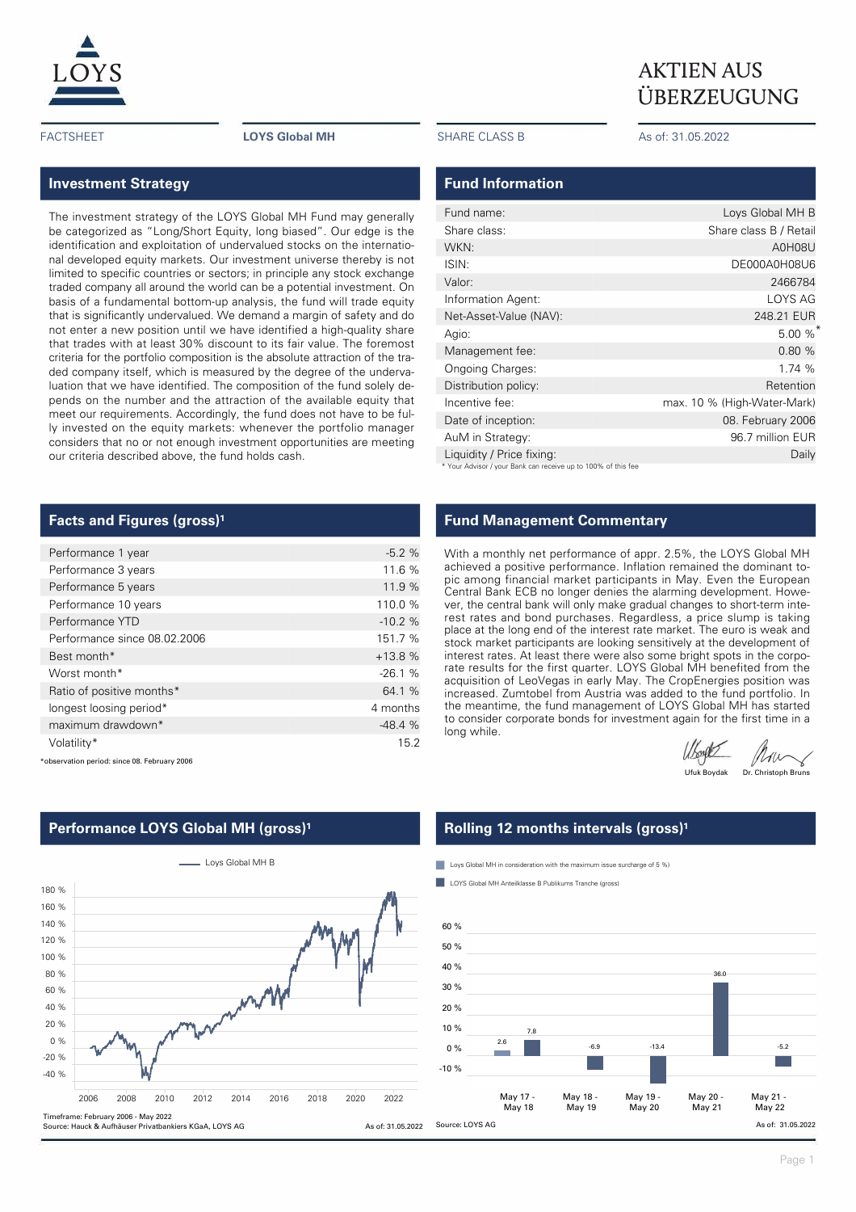

### **Investment Strategy**

The investment strategy of the LOYS Global MH Fund may generally be categorized as "Long/Short Equity, long biased". Our edge is the identification and exploitation of undervalued stocks on the international developed equity markets. Our investment universe thereby is not limited to specific countries or sectors; in principle any stock exchange traded company all around the world can be a potential investment. On basis of a fundamental bottom-up analysis, the fund will trade equity that is significantly undervalued. We demand a margin of safety and do not enter a new position until we have identified a high-quality share that trades with at least 30% discount to its fair value. The foremost criteria for the portfolio composition is the absolute attraction of the traded company itself, which is measured by the degree of the undervaluation that we have identified. The composition of the fund solely depends on the number and the attraction of the available equity that meet our requirements. Accordingly, the fund does not have to be fully invested on the equity markets: whenever the portfolio manager considers that no or not enough investment opportunities are meeting our criteria described above, the fund holds cash.

### **Facts and Figures (gross)<sup>1</sup>**

| Performance 1 year           | $-5.2%$  |
|------------------------------|----------|
| Performance 3 years          | 11.6 %   |
| Performance 5 years          | 11.9 %   |
| Performance 10 years         | 110.0 %  |
| Performance YTD              | $-10.2%$ |
| Performance since 08.02.2006 | 151.7 %  |
| Best month*                  | $+13.8%$ |
| Worst month*                 | $-26.1%$ |
| Ratio of positive months*    | 64.1 %   |
| longest loosing period*      | 4 months |
| maximum drawdown*            | $-48.4%$ |
| Volatility*                  | 15.2     |

\*observation period: since 08. February 2006

#### L Loys Global MH B 180 % 160 % 140 % 120 % 100 % 80 % mmm 60 % 40 % 20 %  $0<sup>0</sup>$ -20 % -40 % 2006 2008 2010 2012 2014 2016 2018 2020 2022 Timeframe: February 2006 - May 2022 Source: Hauck & Aufhäuser Privatbankiers KGaA, LOYS AG As of: 31.05.2022

### **Performance LOYS Global MH (gross)<sup>1</sup>**

FACTSHEET **LOYS Global MH** SHARE CLASS B As of: 31.05.2022

#### **Fund Information**

| Fund name:                                                    | Loys Global MH B            |
|---------------------------------------------------------------|-----------------------------|
| Share class:                                                  | Share class B / Retail      |
| WKN:                                                          | A0H08U                      |
| ISIN:                                                         | DE000A0H08U6                |
| Valor:                                                        | 2466784                     |
| Information Agent:                                            | LOYS AG                     |
| Net-Asset-Value (NAV):                                        | 248.21 EUR                  |
| Agio:                                                         | $5.00 \%$                   |
| Management fee:                                               | 0.80 %                      |
| Ongoing Charges:                                              | 1.74 %                      |
| Distribution policy:                                          | Retention                   |
| Incentive fee:                                                | max. 10 % (High-Water-Mark) |
| Date of inception:                                            | 08. February 2006           |
| AuM in Strategy:                                              | 96.7 million EUR            |
| Liquidity / Price fixing:                                     | Daily                       |
| * Your Advisor / your Bank can receive up to 100% of this fee |                             |

**Fund Management Commentary**

With a monthly net performance of appr. 2.5%, the LOYS Global MH achieved a positive performance. Inflation remained the dominant topic among financial market participants in May. Even the European Central Bank ECB no longer denies the alarming development. However, the central bank will only make gradual changes to short-term interest rates and bond purchases. Regardless, a price slump is taking place at the long end of the interest rate market. The euro is weak and stock market participants are looking sensitively at the development of interest rates. At least there were also some bright spots in the corporate results for the first quarter. LOYS Global MH benefited from the acquisition of LeoVegas in early May. The CropEnergies position was increased. Zumtobel from Austria was added to the fund portfolio. In the meantime, the fund management of LOYS Global MH has started to consider corporate bonds for investment again for the first time in a long while.

Mou Dr. Christoph Bruns

### **Rolling 12 months intervals (gross)<sup>1</sup>**

**Loys Global MH** in consideration with the maximum issue surcharge of 5 %)

LOYS Global MH Anteilklasse B Publikums Tranche (gross)



Page 1

## $\underline{LOYS}$  AKTIEN AUS ÜBERZEUGUNG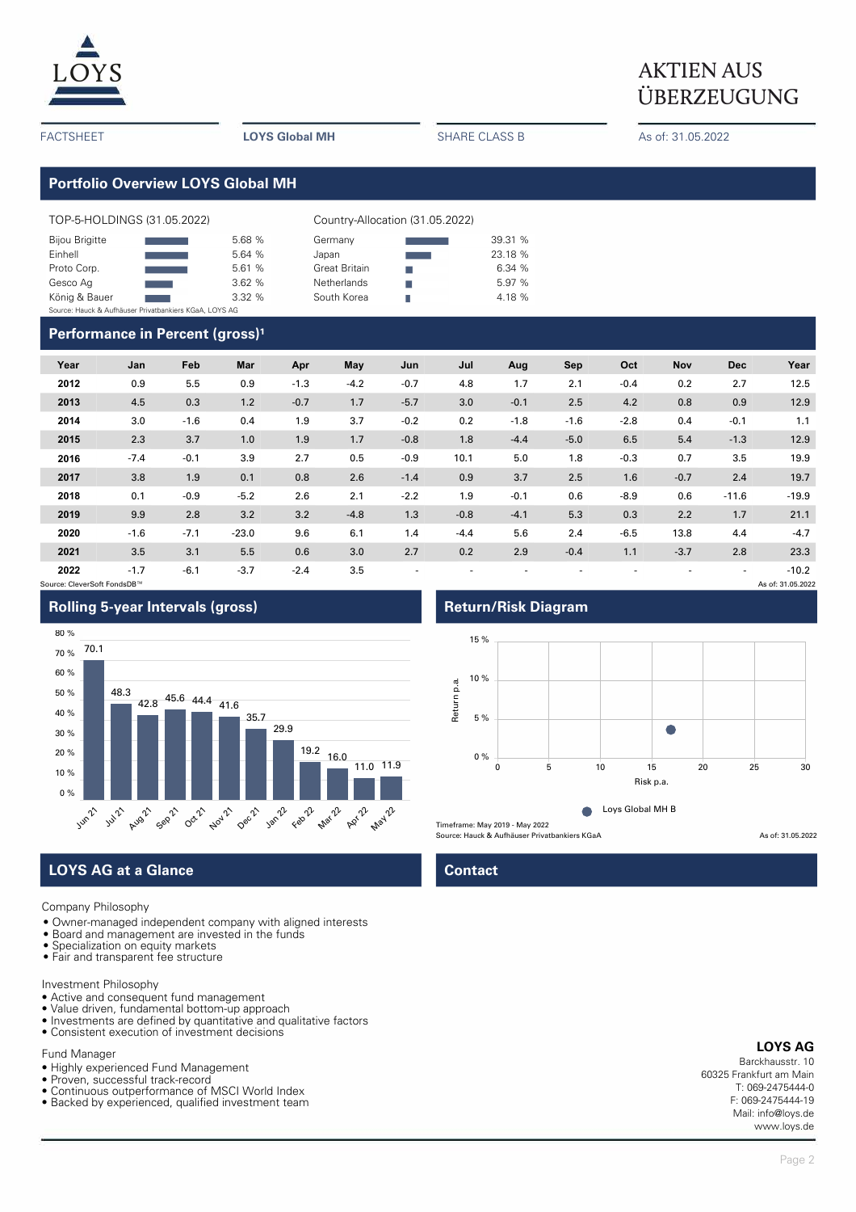

# $\underline{LOYS}$  AKTIEN AUS ÜBERZEUGUNG

FACTSHEET **LOYS Global MH** SHARE CLASS B As of: 31.05.2022

**Portfolio Overview LOYS Global MH**

| TOP-5-HOLDINGS (31.05.2022)                            |  |        | Country-Allocation (31.05.2022) |  |         |  |  |  |
|--------------------------------------------------------|--|--------|---------------------------------|--|---------|--|--|--|
| <b>Bijou Brigitte</b>                                  |  | 5.68 % | Germany                         |  | 39.31 % |  |  |  |
| Einhell                                                |  | 5.64 % | Japan                           |  | 23.18 % |  |  |  |
| Proto Corp.                                            |  | 5.61 % | <b>Great Britain</b>            |  | 6.34 %  |  |  |  |
| Gesco Ag                                               |  | 3.62%  | <b>Netherlands</b>              |  | 5.97 %  |  |  |  |
| König & Bauer                                          |  | 3.32%  | South Korea                     |  | 4.18 %  |  |  |  |
| Source: Hauck & Aufhäuser Privatbankiers KGaA, LOYS AG |  |        |                                 |  |         |  |  |  |

### **Performance in Percent (gross)<sup>1</sup>**

| Year | Jan    | Feb    | Mar     | Apr    | May    | Jun    | Jul    | Aug    | Sep    | Oct    | Nov    | <b>Dec</b> | Year    |
|------|--------|--------|---------|--------|--------|--------|--------|--------|--------|--------|--------|------------|---------|
| 2012 | 0.9    | 5.5    | 0.9     | $-1.3$ | $-4.2$ | $-0.7$ | 4.8    | 1.7    | 2.1    | $-0.4$ | 0.2    | 2.7        | 12.5    |
| 2013 | 4.5    | 0.3    | 1.2     | $-0.7$ | 1.7    | $-5.7$ | 3.0    | $-0.1$ | 2.5    | 4.2    | 0.8    | 0.9        | 12.9    |
| 2014 | 3.0    | $-1.6$ | 0.4     | 1.9    | 3.7    | $-0.2$ | 0.2    | $-1.8$ | $-1.6$ | $-2.8$ | 0.4    | $-0.1$     | 1.1     |
| 2015 | 2.3    | 3.7    | 1.0     | 1.9    | 1.7    | $-0.8$ | 1.8    | $-4.4$ | $-5.0$ | 6.5    | 5.4    | $-1.3$     | 12.9    |
| 2016 | $-7.4$ | $-0.1$ | 3.9     | 2.7    | 0.5    | $-0.9$ | 10.1   | 5.0    | 1.8    | $-0.3$ | 0.7    | 3.5        | 19.9    |
| 2017 | 3.8    | 1.9    | 0.1     | 0.8    | 2.6    | $-1.4$ | 0.9    | 3.7    | 2.5    | 1.6    | $-0.7$ | 2.4        | 19.7    |
| 2018 | 0.1    | $-0.9$ | $-5.2$  | 2.6    | 2.1    | $-2.2$ | 1.9    | $-0.1$ | 0.6    | $-8.9$ | 0.6    | $-11.6$    | $-19.9$ |
| 2019 | 9.9    | 2.8    | 3.2     | 3.2    | $-4.8$ | 1.3    | $-0.8$ | $-4.1$ | 5.3    | 0.3    | 2.2    | 1.7        | 21.1    |
| 2020 | $-1.6$ | $-7.1$ | $-23.0$ | 9.6    | 6.1    | 1.4    | $-4.4$ | 5.6    | 2.4    | $-6.5$ | 13.8   | 4.4        | $-4.7$  |
| 2021 | 3.5    | 3.1    | 5.5     | 0.6    | 3.0    | 2.7    | 0.2    | 2.9    | $-0.4$ | 1.1    | $-3.7$ | 2.8        | 23.3    |
| 2022 | $-1.7$ | $-6.1$ | $-3.7$  | $-2.4$ | 3.5    | ٠      | ٠      |        |        |        |        | ۰          | $-10.2$ |

Source: CleverSoft FondsDB™ As of: 31.05.2022



Company Philosophy

- Owner-managed independent company with aligned interests
- Board and management are invested in the funds
- Specialization on equity markets • Fair and transparent fee structure
- 

Investment Philosophy

- Active and consequent fund management
- Value driven, fundamental bottom-up approach
- Investments are defined by quantitative and qualitative factors
- Consistent execution of investment decisions

Fund Manager

- Highly experienced Fund Management
- Proven, successful track-record
- Continuous outperformance of MSCI World Index
- Backed by experienced, qualified investment team

### **Rolling 5-year Intervals (gross) Return/Risk Diagram**



**LOYS AG at a Glance Contact Contact** 

#### **LOYS AG**

Barckhausstr. 10 60325 Frankfurt am Main T: 069-2475444-0 F: 069-2475444-19 Mail: info@loys.de www.loys.de